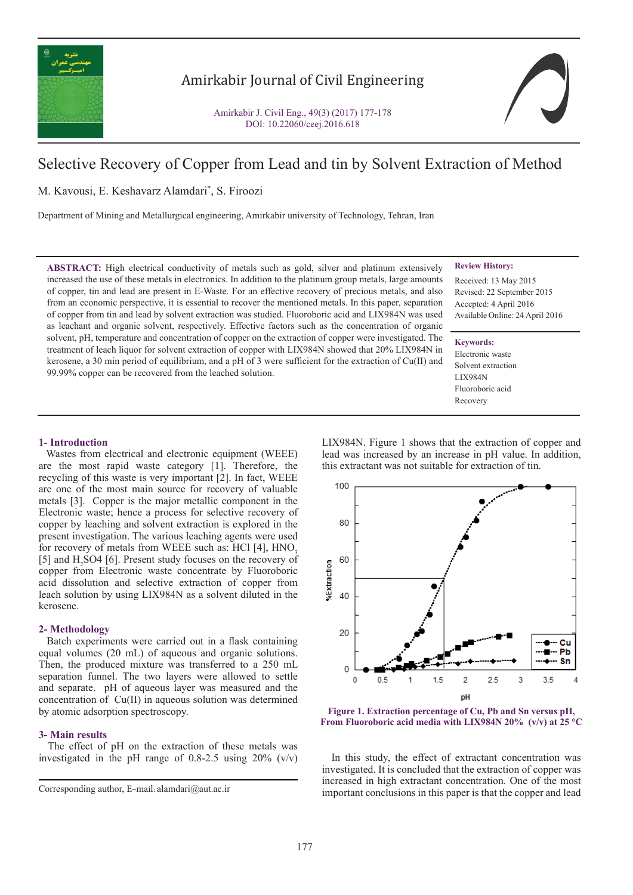

# Amirkabir Journal of Civil Engineering

Amirkabir J. Civil Eng., 49(3) (2017) 177-178 DOI: 10.22060/ceej.2016.618

# Selective Recovery of Copper from Lead and tin by Solvent Extraction of Method

M. Kavousi, E. Keshavarz Alamdari\* , S. Firoozi

Department of Mining and Metallurgical engineering, Amirkabir university of Technology, Tehran, Iran

**ABSTRACT:** High electrical conductivity of metals such as gold, silver and platinum extensively increased the use of these metals in electronics. In addition to the platinum group metals, large amounts of copper, tin and lead are present in E-Waste. For an effective recovery of precious metals, and also from an economic perspective, it is essential to recover the mentioned metals. In this paper, separation of copper from tin and lead by solvent extraction was studied. Fluoroboric acid and LIX984N was used as leachant and organic solvent, respectively. Effective factors such as the concentration of organic solvent, pH, temperature and concentration of copper on the extraction of copper were investigated. The treatment of leach liquor for solvent extraction of copper with LIX984N showed that 20% LIX984N in kerosene, a 30 min period of equilibrium, and a pH of 3 were sufficient for the extraction of Cu(II) and 99.99% copper can be recovered from the leached solution.

### **Review History:**

Received: 13 May 2015 Revised: 22 September 2015 Accepted: 4 April 2016 Available Online: 24 April 2016

#### **Keywords:**

Electronic waste Solvent extraction LIX984N Fluoroboric acid Recovery

#### **1- Introduction**

 Wastes from electrical and electronic equipment (WEEE) are the most rapid waste category [1]. Therefore, the recycling of this waste is very important [2]. In fact, WEEE are one of the most main source for recovery of valuable metals [3]. Copper is the major metallic component in the Electronic waste; hence a process for selective recovery of copper by leaching and solvent extraction is explored in the present investigation. The various leaching agents were used for recovery of metals from WEEE such as:  $HCl$  [4],  $HNO<sub>3</sub>$ [5] and  $H_2$  SO4 [6]. Present study focuses on the recovery of copper from Electronic waste concentrate by Fluoroboric acid dissolution and selective extraction of copper from leach solution by using LIX984N as a solvent diluted in the kerosene.

#### **2- Methodology**

 Batch experiments were carried out in a flask containing equal volumes (20 mL) of aqueous and organic solutions. Then, the produced mixture was transferred to a 250 mL separation funnel. The two layers were allowed to settle and separate. pH of aqueous layer was measured and the concentration of Cu(II) in aqueous solution was determined by atomic adsorption spectroscopy.

#### **3- Main results**

 The effect of pH on the extraction of these metals was investigated in the pH range of  $0.8-2.5$  using  $20\%$  (v/v) LIX984N. Figure 1 shows that the extraction of copper and lead was increased by an increase in pH value. In addition, this extractant was not suitable for extraction of tin.



**Figure 1. Extraction percentage of Cu, Pb and Sn versus pH, From Fluoroboric acid media with LIX984N 20% (v/v) at 25 °C**

 In this study, the effect of extractant concentration was investigated. It is concluded that the extraction of copper was increased in high extractant concentration. One of the most important conclusions in this paper is that the copper and lead

Corresponding author, E-mail: alamdari@aut.ac.ir